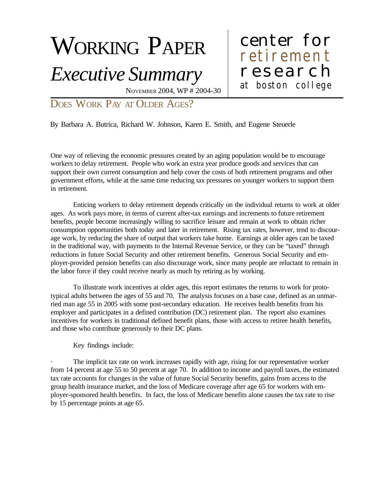# WORKING PAPER

# *Executive Summary*

## center for at boston college research retirement

NOVEMBER 2004, WP # 2004-30

#### DOES WORK PAY AT OLDER AGES?

By Barbara A. Butrica, Richard W. Johnson, Karen E. Smith, and Eugene Steuerle

One way of relieving the economic pressures created by an aging population would be to encourage workers to delay retirement. People who work an extra year produce goods and services that can support their own current consumption and help cover the costs of both retirement programs and other government efforts, while at the same time reducing tax pressures on younger workers to support them in retirement.

Enticing workers to delay retirement depends critically on the individual returns to work at older ages. As work pays more, in terms of current after-tax earnings and increments to future retirement benefits, people become increasingly willing to sacrifice leisure and remain at work to obtain richer consumption opportunities both today and later in retirement. Rising tax rates, however, tend to discourage work, by reducing the share of output that workers take home. Earnings at older ages can be taxed in the traditional way, with payments to the Internal Revenue Service, or they can be "taxed" through reductions in future Social Security and other retirement benefits. Generous Social Security and employer-provided pension benefits can also discourage work, since many people are reluctant to remain in the labor force if they could receive nearly as much by retiring as by working.

To illustrate work incentives at older ages, this report estimates the returns to work for prototypical adults between the ages of 55 and 70. The analysis focuses on a base case, defined as an unmarried man age 55 in 2005 with some post-secondary education. He receives health benefits from his employer and participates in a defined contribution (DC) retirement plan. The report also examines incentives for workers in traditional defined benefit plans, those with access to retiree health benefits, and those who contribute generously to their DC plans.

Key findings include:

The implicit tax rate on work increases rapidly with age, rising for our representative worker from 14 percent at age 55 to 50 percent at age 70. In addition to income and payroll taxes, the estimated tax rate accounts for changes in the value of future Social Security benefits, gains from access to the group health insurance market, and the loss of Medicare coverage after age 65 for workers with employer-sponsored health benefits. In fact, the loss of Medicare benefits alone causes the tax rate to rise by 15 percentage points at age 65.